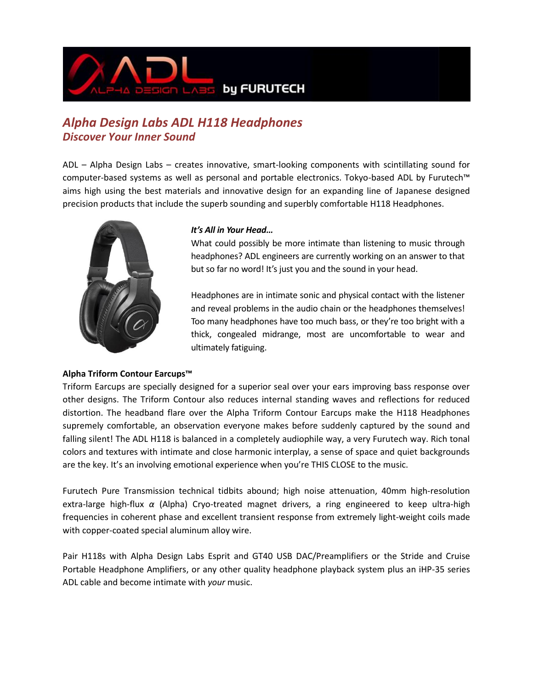

## *Alpha Design Labs ADL H118 Headphones Discover Your Inner Sound*

ADL – Alpha Design Labs – creates innovative, smart-looking components with scintillating sound for computer-based systems as well as personal and portable electronics. Tokyo-based ADL by Furutech™ aims high using the best materials and innovative design for an expanding line of Japanese designed precision products that include the superb sounding and superbly comfortable H118 Headphones.



#### *It's All in Your Head…*

What could possibly be more intimate than listening to music through headphones? ADL engineers are currently working on an answer to that but so far no word! It's just you and the sound in your head.

Headphones are in intimate sonic and physical contact with the listener and reveal problems in the audio chain or the headphones themselves! Too many headphones have too much bass, or they're too bright with a thick, congealed midrange, most are uncomfortable to wear and ultimately fatiguing.

### **Alpha Triform Contour Earcups™**

Triform Earcups are specially designed for a superior seal over your ears improving bass response over other designs. The Triform Contour also reduces internal standing waves and reflections for reduced distortion. The headband flare over the Alpha Triform Contour Earcups make the H118 Headphones supremely comfortable, an observation everyone makes before suddenly captured by the sound and falling silent! The ADL H118 is balanced in a completely audiophile way, a very Furutech way. Rich tonal colors and textures with intimate and close harmonic interplay, a sense of space and quiet backgrounds are the key. It's an involving emotional experience when you're THIS CLOSE to the music.

Furutech Pure Transmission technical tidbits abound; high noise attenuation, 40mm high-resolution extra-large high-flux *α* (Alpha) Cryo-treated magnet drivers, a ring engineered to keep ultra-high frequencies in coherent phase and excellent transient response from extremely light-weight coils made with copper-coated special aluminum alloy wire.

Pair H118s with Alpha Design Labs Esprit and GT40 USB DAC/Preamplifiers or the Stride and Cruise Portable Headphone Amplifiers, or any other quality headphone playback system plus an iHP-35 series ADL cable and become intimate with *your* music.